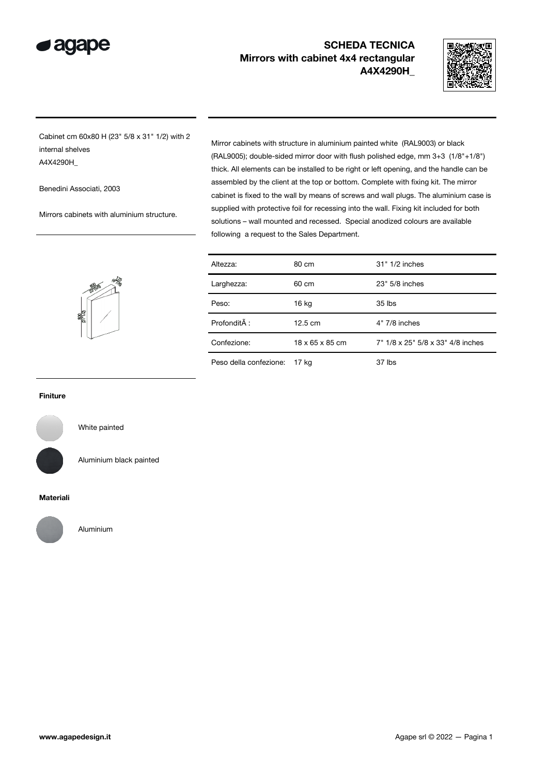

# SCHEDA TECNICA Mirrors with cabinet 4x4 rectangular A4X4290H\_



Cabinet cm 60x80 H (23" 5/8 x 31" 1/2) with 2 internal shelves A4X4290H\_

Benedini Associati, 2003

Mirrors cabinets with aluminium structure.

Mirror cabinets with structure in aluminium painted white (RAL9003) or black (RAL9005); double-sided mirror door with flush polished edge, mm 3+3 (1/8"+1/8") thick. All elements can be installed to be right or left opening, and the handle can be assembled by the client at the top or bottom. Complete with fixing kit. The mirror cabinet is fixed to the wall by means of screws and wall plugs. The aluminium case is supplied with protective foil for recessing into the wall. Fixing kit included for both solutions – wall mounted and recessed. Special anodized colours are available following a request to the Sales Department.



| Altezza:               | 80 cm             | 31" 1/2 inches                    |
|------------------------|-------------------|-----------------------------------|
| Larghezza:             | 60 cm             | 23" 5/8 inches                    |
| Peso:                  | 16 kg             | $35$ lbs                          |
| Profondità :           | $12.5 \text{ cm}$ | 4" 7/8 inches                     |
| Confezione:            | 18 x 65 x 85 cm   | 7" 1/8 x 25" 5/8 x 33" 4/8 inches |
| Peso della confezione: | 17 kg             | 37 lbs                            |

#### Finiture



White painted

Aluminium black painted

### Materiali



Aluminium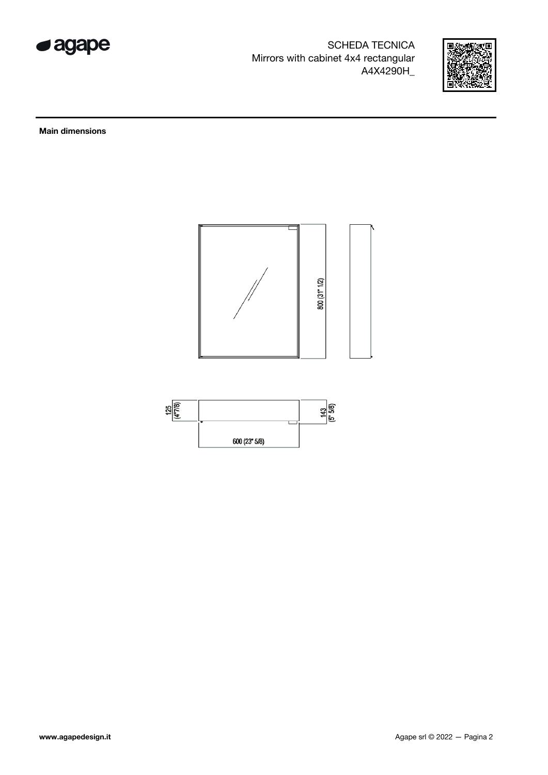

SCHEDA TECNICA Mirrors with cabinet 4x4 rectangular A4X4290H\_



Main dimensions